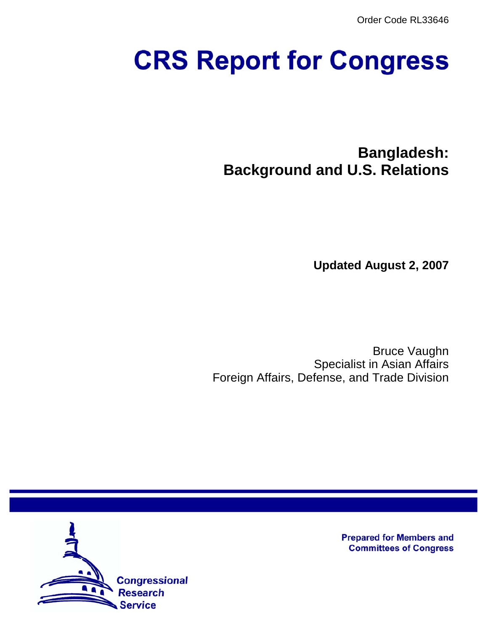Order Code RL33646

# **CRS Report for Congress**

**Bangladesh: Background and U.S. Relations**

**Updated August 2, 2007**

Bruce Vaughn Specialist in Asian Affairs Foreign Affairs, Defense, and Trade Division



**Prepared for Members and Committees of Congress**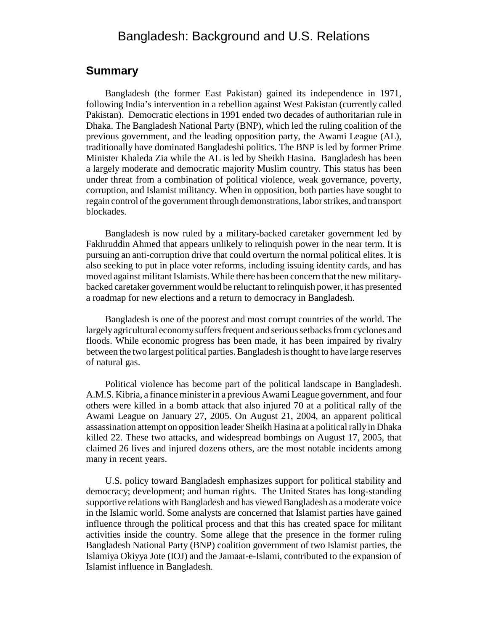# Bangladesh: Background and U.S. Relations

#### **Summary**

Bangladesh (the former East Pakistan) gained its independence in 1971, following India's intervention in a rebellion against West Pakistan (currently called Pakistan). Democratic elections in 1991 ended two decades of authoritarian rule in Dhaka. The Bangladesh National Party (BNP), which led the ruling coalition of the previous government, and the leading opposition party, the Awami League (AL), traditionally have dominated Bangladeshi politics. The BNP is led by former Prime Minister Khaleda Zia while the AL is led by Sheikh Hasina. Bangladesh has been a largely moderate and democratic majority Muslim country. This status has been under threat from a combination of political violence, weak governance, poverty, corruption, and Islamist militancy. When in opposition, both parties have sought to regain control of the government through demonstrations, labor strikes, and transport blockades.

Bangladesh is now ruled by a military-backed caretaker government led by Fakhruddin Ahmed that appears unlikely to relinquish power in the near term. It is pursuing an anti-corruption drive that could overturn the normal political elites. It is also seeking to put in place voter reforms, including issuing identity cards, and has moved against militant Islamists. While there has been concern that the new militarybacked caretaker government would be reluctant to relinquish power, it has presented a roadmap for new elections and a return to democracy in Bangladesh.

Bangladesh is one of the poorest and most corrupt countries of the world. The largely agricultural economy suffers frequent and serious setbacks from cyclones and floods. While economic progress has been made, it has been impaired by rivalry between the two largest political parties. Bangladesh is thought to have large reserves of natural gas.

Political violence has become part of the political landscape in Bangladesh. A.M.S. Kibria, a finance minister in a previous Awami League government, and four others were killed in a bomb attack that also injured 70 at a political rally of the Awami League on January 27, 2005. On August 21, 2004, an apparent political assassination attempt on opposition leader Sheikh Hasina at a political rally in Dhaka killed 22. These two attacks, and widespread bombings on August 17, 2005, that claimed 26 lives and injured dozens others, are the most notable incidents among many in recent years.

U.S. policy toward Bangladesh emphasizes support for political stability and democracy; development; and human rights. The United States has long-standing supportive relations with Bangladesh and has viewed Bangladesh as a moderate voice in the Islamic world. Some analysts are concerned that Islamist parties have gained influence through the political process and that this has created space for militant activities inside the country. Some allege that the presence in the former ruling Bangladesh National Party (BNP) coalition government of two Islamist parties, the Islamiya Okiyya Jote (IOJ) and the Jamaat-e-Islami, contributed to the expansion of Islamist influence in Bangladesh.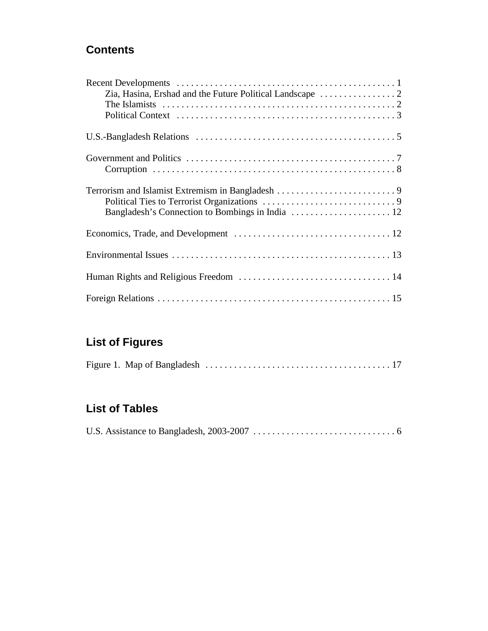# **Contents**

# **List of Figures**

|--|--|--|--|

# **List of Tables**

|--|--|--|--|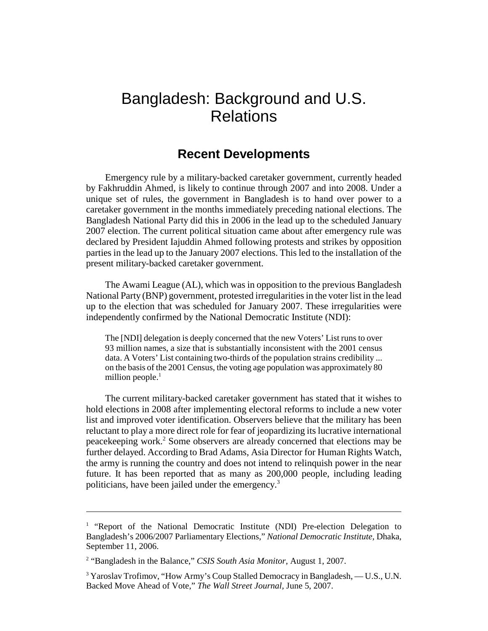# Bangladesh: Background and U.S. Relations

# **Recent Developments**

Emergency rule by a military-backed caretaker government, currently headed by Fakhruddin Ahmed, is likely to continue through 2007 and into 2008. Under a unique set of rules, the government in Bangladesh is to hand over power to a caretaker government in the months immediately preceding national elections. The Bangladesh National Party did this in 2006 in the lead up to the scheduled January 2007 election. The current political situation came about after emergency rule was declared by President Iajuddin Ahmed following protests and strikes by opposition parties in the lead up to the January 2007 elections. This led to the installation of the present military-backed caretaker government.

The Awami League (AL), which was in opposition to the previous Bangladesh National Party (BNP) government, protested irregularities in the voter list in the lead up to the election that was scheduled for January 2007. These irregularities were independently confirmed by the National Democratic Institute (NDI):

The [NDI] delegation is deeply concerned that the new Voters' List runs to over 93 million names, a size that is substantially inconsistent with the 2001 census data. A Voters' List containing two-thirds of the population strains credibility ... on the basis of the 2001 Census, the voting age population was approximately 80 million people. $<sup>1</sup>$ </sup>

The current military-backed caretaker government has stated that it wishes to hold elections in 2008 after implementing electoral reforms to include a new voter list and improved voter identification. Observers believe that the military has been reluctant to play a more direct role for fear of jeopardizing its lucrative international peacekeeping work.<sup>2</sup> Some observers are already concerned that elections may be further delayed. According to Brad Adams, Asia Director for Human Rights Watch, the army is running the country and does not intend to relinquish power in the near future. It has been reported that as many as 200,000 people, including leading politicians, have been jailed under the emergency.<sup>3</sup>

<sup>&</sup>lt;sup>1</sup> "Report of the National Democratic Institute (NDI) Pre-election Delegation to Bangladesh's 2006/2007 Parliamentary Elections," *National Democratic Institute,* Dhaka, September 11, 2006.

<sup>&</sup>lt;sup>2</sup> "Bangladesh in the Balance," *CSIS South Asia Monitor*, August 1, 2007.

<sup>&</sup>lt;sup>3</sup> Yaroslav Trofimov, "How Army's Coup Stalled Democracy in Bangladesh, — U.S., U.N. Backed Move Ahead of Vote," *The Wall Street Journal,* June 5, 2007.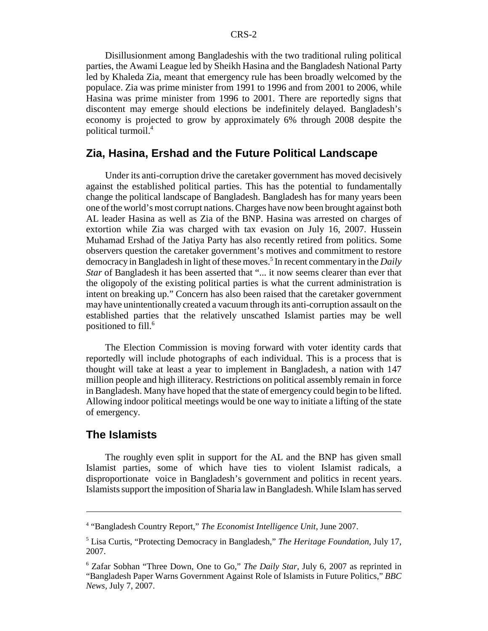Disillusionment among Bangladeshis with the two traditional ruling political parties, the Awami League led by Sheikh Hasina and the Bangladesh National Party led by Khaleda Zia, meant that emergency rule has been broadly welcomed by the populace. Zia was prime minister from 1991 to 1996 and from 2001 to 2006, while Hasina was prime minister from 1996 to 2001. There are reportedly signs that discontent may emerge should elections be indefinitely delayed. Bangladesh's economy is projected to grow by approximately 6% through 2008 despite the political turmoil.4

#### **Zia, Hasina, Ershad and the Future Political Landscape**

Under its anti-corruption drive the caretaker government has moved decisively against the established political parties. This has the potential to fundamentally change the political landscape of Bangladesh. Bangladesh has for many years been one of the world's most corrupt nations. Charges have now been brought against both AL leader Hasina as well as Zia of the BNP. Hasina was arrested on charges of extortion while Zia was charged with tax evasion on July 16, 2007. Hussein Muhamad Ershad of the Jatiya Party has also recently retired from politics. Some observers question the caretaker government's motives and commitment to restore democracy in Bangladesh in light of these moves.<sup>5</sup> In recent commentary in the *Daily Star* of Bangladesh it has been asserted that "... it now seems clearer than ever that the oligopoly of the existing political parties is what the current administration is intent on breaking up." Concern has also been raised that the caretaker government may have unintentionally created a vacuum through its anti-corruption assault on the established parties that the relatively unscathed Islamist parties may be well positioned to fill.6

The Election Commission is moving forward with voter identity cards that reportedly will include photographs of each individual. This is a process that is thought will take at least a year to implement in Bangladesh, a nation with 147 million people and high illiteracy. Restrictions on political assembly remain in force in Bangladesh. Many have hoped that the state of emergency could begin to be lifted. Allowing indoor political meetings would be one way to initiate a lifting of the state of emergency.

#### **The Islamists**

The roughly even split in support for the AL and the BNP has given small Islamist parties, some of which have ties to violent Islamist radicals, a disproportionate voice in Bangladesh's government and politics in recent years. Islamists support the imposition of Sharia law in Bangladesh. While Islam has served

<sup>4</sup> "Bangladesh Country Report," *The Economist Intelligence Unit,* June 2007.

<sup>5</sup> Lisa Curtis, "Protecting Democracy in Bangladesh," *The Heritage Foundation,* July 17, 2007.

<sup>6</sup> Zafar Sobhan "Three Down, One to Go," *The Daily Star,* July 6, 2007 as reprinted in "Bangladesh Paper Warns Government Against Role of Islamists in Future Politics," *BBC News,* July 7, 2007.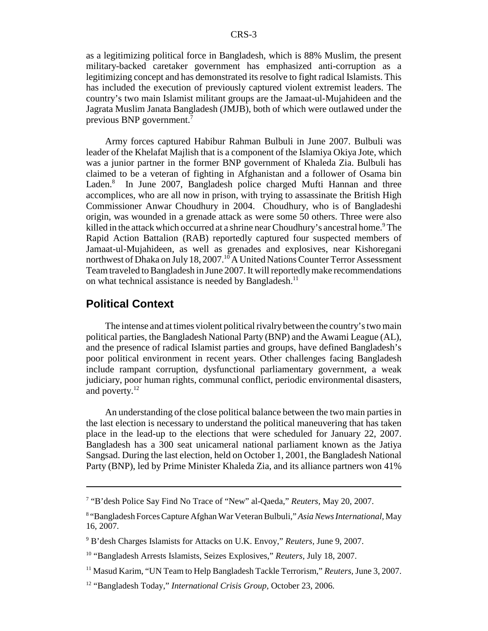as a legitimizing political force in Bangladesh, which is 88% Muslim, the present military-backed caretaker government has emphasized anti-corruption as a legitimizing concept and has demonstrated its resolve to fight radical Islamists. This has included the execution of previously captured violent extremist leaders. The country's two main Islamist militant groups are the Jamaat-ul-Mujahideen and the Jagrata Muslim Janata Bangladesh (JMJB), both of which were outlawed under the previous BNP government.7

Army forces captured Habibur Rahman Bulbuli in June 2007. Bulbuli was leader of the Khelafat Majlish that is a component of the Islamiya Okiya Jote, which was a junior partner in the former BNP government of Khaleda Zia. Bulbuli has claimed to be a veteran of fighting in Afghanistan and a follower of Osama bin Laden.<sup>8</sup> In June 2007, Bangladesh police charged Mufti Hannan and three accomplices, who are all now in prison, with trying to assassinate the British High Commissioner Anwar Choudhury in 2004. Choudhury, who is of Bangladeshi origin, was wounded in a grenade attack as were some 50 others. Three were also killed in the attack which occurred at a shrine near Choudhury's ancestral home.<sup>9</sup> The Rapid Action Battalion (RAB) reportedly captured four suspected members of Jamaat-ul-Mujahideen, as well as grenades and explosives, near Kishoregani northwest of Dhaka on July 18, 2007.<sup>10</sup> A United Nations Counter Terror Assessment Team traveled to Bangladesh in June 2007. It will reportedly make recommendations on what technical assistance is needed by Bangladesh.<sup>11</sup>

#### **Political Context**

The intense and at times violent political rivalry between the country's two main political parties, the Bangladesh National Party (BNP) and the Awami League (AL), and the presence of radical Islamist parties and groups, have defined Bangladesh's poor political environment in recent years. Other challenges facing Bangladesh include rampant corruption, dysfunctional parliamentary government, a weak judiciary, poor human rights, communal conflict, periodic environmental disasters, and poverty.<sup>12</sup>

An understanding of the close political balance between the two main parties in the last election is necessary to understand the political maneuvering that has taken place in the lead-up to the elections that were scheduled for January 22, 2007. Bangladesh has a 300 seat unicameral national parliament known as the Jatiya Sangsad. During the last election, held on October 1, 2001, the Bangladesh National Party (BNP), led by Prime Minister Khaleda Zia, and its alliance partners won 41%

<sup>7</sup> "B'desh Police Say Find No Trace of "New" al-Qaeda," *Reuters,* May 20, 2007.

<sup>8</sup> "Bangladesh Forces Capture Afghan War Veteran Bulbuli," *Asia News International,* May 16, 2007.

<sup>9</sup> B'desh Charges Islamists for Attacks on U.K. Envoy," *Reuters,* June 9, 2007.

<sup>10 &</sup>quot;Bangladesh Arrests Islamists, Seizes Explosives," *Reuters,* July 18, 2007.

<sup>11</sup> Masud Karim, "UN Team to Help Bangladesh Tackle Terrorism," *Reuters,* June 3, 2007.

<sup>12 &</sup>quot;Bangladesh Today," *International Crisis Group,* October 23, 2006.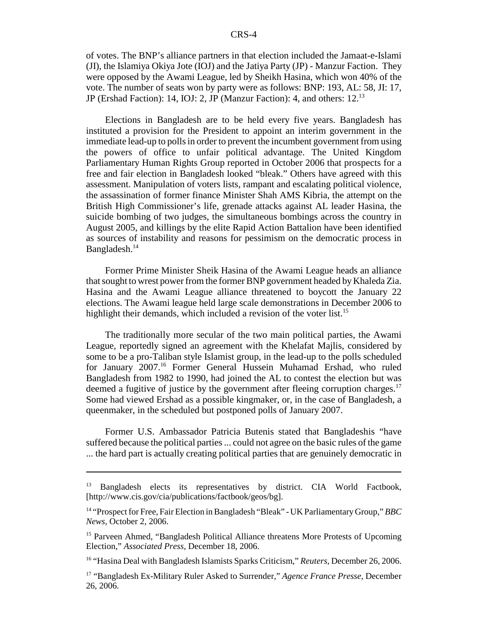of votes. The BNP's alliance partners in that election included the Jamaat-e-Islami (JI), the Islamiya Okiya Jote (IOJ) and the Jatiya Party (JP) - Manzur Faction. They were opposed by the Awami League, led by Sheikh Hasina, which won 40% of the vote. The number of seats won by party were as follows: BNP: 193, AL: 58, JI: 17, JP (Ershad Faction): 14, IOJ: 2, JP (Manzur Faction): 4, and others: 12.13

Elections in Bangladesh are to be held every five years. Bangladesh has instituted a provision for the President to appoint an interim government in the immediate lead-up to polls in order to prevent the incumbent government from using the powers of office to unfair political advantage. The United Kingdom Parliamentary Human Rights Group reported in October 2006 that prospects for a free and fair election in Bangladesh looked "bleak." Others have agreed with this assessment. Manipulation of voters lists, rampant and escalating political violence, the assassination of former finance Minister Shah AMS Kibria, the attempt on the British High Commissioner's life, grenade attacks against AL leader Hasina, the suicide bombing of two judges, the simultaneous bombings across the country in August 2005, and killings by the elite Rapid Action Battalion have been identified as sources of instability and reasons for pessimism on the democratic process in Bangladesh.<sup>14</sup>

Former Prime Minister Sheik Hasina of the Awami League heads an alliance that sought to wrest power from the former BNP government headed by Khaleda Zia. Hasina and the Awami League alliance threatened to boycott the January 22 elections. The Awami league held large scale demonstrations in December 2006 to highlight their demands, which included a revision of the voter list.<sup>15</sup>

The traditionally more secular of the two main political parties, the Awami League, reportedly signed an agreement with the Khelafat Majlis, considered by some to be a pro-Taliban style Islamist group, in the lead-up to the polls scheduled for January 2007.<sup>16</sup> Former General Hussein Muhamad Ershad, who ruled Bangladesh from 1982 to 1990, had joined the AL to contest the election but was deemed a fugitive of justice by the government after fleeing corruption charges.<sup>17</sup> Some had viewed Ershad as a possible kingmaker, or, in the case of Bangladesh, a queenmaker, in the scheduled but postponed polls of January 2007.

Former U.S. Ambassador Patricia Butenis stated that Bangladeshis "have suffered because the political parties ... could not agree on the basic rules of the game ... the hard part is actually creating political parties that are genuinely democratic in

<sup>&</sup>lt;sup>13</sup> Bangladesh elects its representatives by district. CIA World Factbook, [http://www.cis.gov/cia/publications/factbook/geos/bg].

<sup>14 &</sup>quot;Prospect for Free, Fair Election in Bangladesh "Bleak" - UK Parliamentary Group," *BBC News,* October 2, 2006.

<sup>&</sup>lt;sup>15</sup> Parveen Ahmed, "Bangladesh Political Alliance threatens More Protests of Upcoming Election," *Associated Press,* December 18, 2006.

<sup>16 &</sup>quot;Hasina Deal with Bangladesh Islamists Sparks Criticism," *Reuters,* December 26, 2006.

<sup>17 &</sup>quot;Bangladesh Ex-Military Ruler Asked to Surrender," *Agence France Presse,* December 26, 2006.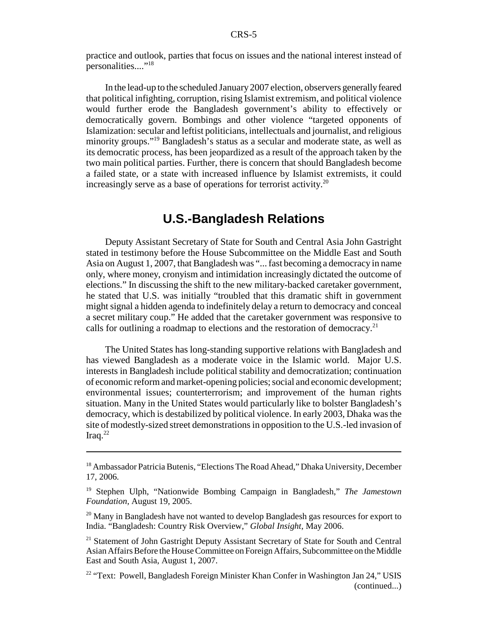practice and outlook, parties that focus on issues and the national interest instead of personalities...."<sup>18</sup>

In the lead-up to the scheduled January 2007 election, observers generally feared that political infighting, corruption, rising Islamist extremism, and political violence would further erode the Bangladesh government's ability to effectively or democratically govern. Bombings and other violence "targeted opponents of Islamization: secular and leftist politicians, intellectuals and journalist, and religious minority groups."19 Bangladesh's status as a secular and moderate state, as well as its democratic process, has been jeopardized as a result of the approach taken by the two main political parties. Further, there is concern that should Bangladesh become a failed state, or a state with increased influence by Islamist extremists, it could increasingly serve as a base of operations for terrorist activity.<sup>20</sup>

# **U.S.-Bangladesh Relations**

Deputy Assistant Secretary of State for South and Central Asia John Gastright stated in testimony before the House Subcommittee on the Middle East and South Asia on August 1, 2007, that Bangladesh was "... fast becoming a democracy in name only, where money, cronyism and intimidation increasingly dictated the outcome of elections." In discussing the shift to the new military-backed caretaker government, he stated that U.S. was initially "troubled that this dramatic shift in government might signal a hidden agenda to indefinitely delay a return to democracy and conceal a secret military coup." He added that the caretaker government was responsive to calls for outlining a roadmap to elections and the restoration of democracy.<sup>21</sup>

The United States has long-standing supportive relations with Bangladesh and has viewed Bangladesh as a moderate voice in the Islamic world. Major U.S. interests in Bangladesh include political stability and democratization; continuation of economic reform and market-opening policies; social and economic development; environmental issues; counterterrorism; and improvement of the human rights situation. Many in the United States would particularly like to bolster Bangladesh's democracy, which is destabilized by political violence. In early 2003, Dhaka was the site of modestly-sized street demonstrations in opposition to the U.S.-led invasion of Iraq. $^{22}$ 

<sup>&</sup>lt;sup>18</sup> Ambassador Patricia Butenis, "Elections The Road Ahead," Dhaka University, December 17, 2006.

<sup>19</sup> Stephen Ulph, "Nationwide Bombing Campaign in Bangladesh," *The Jamestown Foundation,* August 19, 2005.

 $^{20}$  Many in Bangladesh have not wanted to develop Bangladesh gas resources for export to India. "Bangladesh: Country Risk Overview," *Global Insight,* May 2006.

<sup>&</sup>lt;sup>21</sup> Statement of John Gastright Deputy Assistant Secretary of State for South and Central Asian Affairs Before the House Committee on Foreign Affairs, Subcommittee on the Middle East and South Asia, August 1, 2007.

<sup>&</sup>lt;sup>22</sup> "Text: Powell, Bangladesh Foreign Minister Khan Confer in Washington Jan 24," USIS (continued...)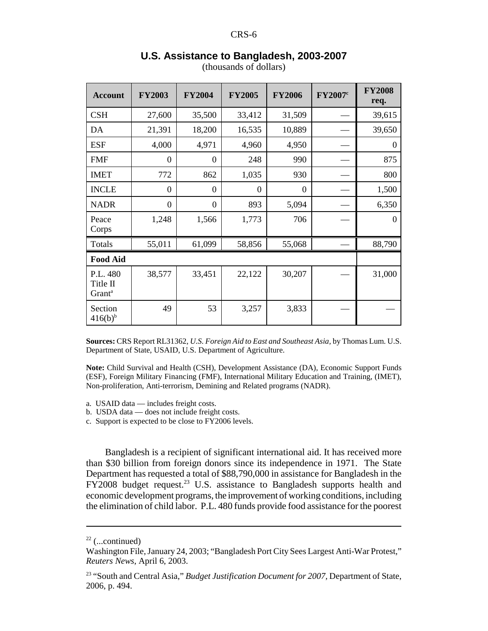| <b>Account</b>                             | <b>FY2003</b>  | <b>FY2004</b>  | <b>FY2005</b> | <b>FY2006</b>    | FY2007 <sup>c</sup> | <b>FY2008</b><br>req. |
|--------------------------------------------|----------------|----------------|---------------|------------------|---------------------|-----------------------|
| <b>CSH</b>                                 | 27,600         | 35,500         | 33,412        | 31,509           |                     | 39,615                |
| DA                                         | 21,391         | 18,200         | 16,535        | 10,889           |                     | 39,650                |
| <b>ESF</b>                                 | 4,000          | 4,971          | 4,960         | 4,950            |                     | $\theta$              |
| <b>FMF</b>                                 | $\overline{0}$ | $\overline{0}$ | 248           | 990              |                     | 875                   |
| <b>IMET</b>                                | 772            | 862            | 1,035         | 930              |                     | 800                   |
| <b>INCLE</b>                               | $\overline{0}$ | $\overline{0}$ | $\theta$      | $\boldsymbol{0}$ |                     | 1,500                 |
| <b>NADR</b>                                | $\overline{0}$ | $\overline{0}$ | 893           | 5,094            |                     | 6,350                 |
| Peace<br>Corps                             | 1,248          | 1,566          | 1,773         | 706              |                     | $\Omega$              |
| Totals                                     | 55,011         | 61,099         | 58,856        | 55,068           |                     | 88,790                |
| <b>Food Aid</b>                            |                |                |               |                  |                     |                       |
| P.L. 480<br>Title II<br>Grant <sup>a</sup> | 38,577         | 33,451         | 22,122        | 30,207           |                     | 31,000                |
| Section<br>$416(b)^{b}$                    | 49             | 53             | 3,257         | 3,833            |                     |                       |

#### **U.S. Assistance to Bangladesh, 2003-2007**

(thousands of dollars)

**Sources:** CRS Report RL31362, *U.S. Foreign Aid to East and Southeast Asia,* by Thomas Lum. U.S. Department of State, USAID, U.S. Department of Agriculture.

**Note:** Child Survival and Health (CSH), Development Assistance (DA), Economic Support Funds (ESF), Foreign Military Financing (FMF), International Military Education and Training, (IMET), Non-proliferation, Anti-terrorism, Demining and Related programs (NADR).

a. USAID data — includes freight costs.

b. USDA data — does not include freight costs.

c. Support is expected to be close to FY2006 levels.

Bangladesh is a recipient of significant international aid. It has received more than \$30 billion from foreign donors since its independence in 1971. The State Department has requested a total of \$88,790,000 in assistance for Bangladesh in the  $FY2008$  budget request.<sup>23</sup> U.S. assistance to Bangladesh supports health and economic development programs, the improvement of working conditions, including the elimination of child labor. P.L. 480 funds provide food assistance for the poorest

 $22$  (...continued)

Washington File, January 24, 2003; "Bangladesh Port City Sees Largest Anti-War Protest," *Reuters News*, April 6, 2003.

<sup>23 &</sup>quot;South and Central Asia," *Budget Justification Document for 2007,* Department of State, 2006, p. 494.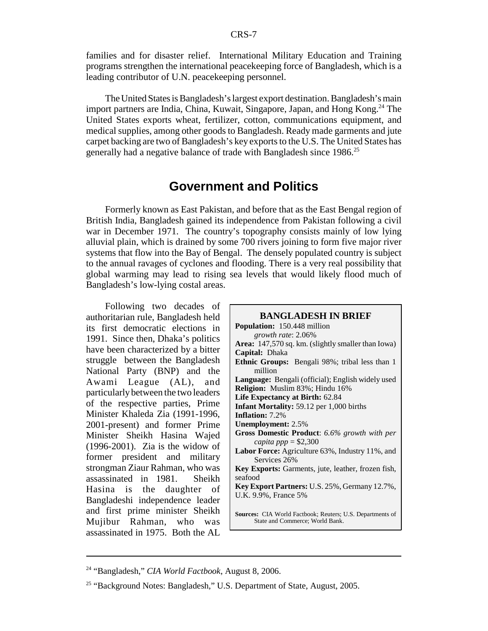families and for disaster relief. International Military Education and Training programs strengthen the international peacekeeping force of Bangladesh, which is a leading contributor of U.N. peacekeeping personnel.

The United States is Bangladesh's largest export destination. Bangladesh's main import partners are India, China, Kuwait, Singapore, Japan, and Hong Kong.<sup>24</sup> The United States exports wheat, fertilizer, cotton, communications equipment, and medical supplies, among other goods to Bangladesh. Ready made garments and jute carpet backing are two of Bangladesh's key exports to the U.S. The United States has generally had a negative balance of trade with Bangladesh since 1986.<sup>25</sup>

### **Government and Politics**

Formerly known as East Pakistan, and before that as the East Bengal region of British India, Bangladesh gained its independence from Pakistan following a civil war in December 1971. The country's topography consists mainly of low lying alluvial plain, which is drained by some 700 rivers joining to form five major river systems that flow into the Bay of Bengal. The densely populated country is subject to the annual ravages of cyclones and flooding. There is a very real possibility that global warming may lead to rising sea levels that would likely flood much of Bangladesh's low-lying costal areas.

Following two decades of authoritarian rule, Bangladesh held its first democratic elections in 1991. Since then, Dhaka's politics have been characterized by a bitter struggle between the Bangladesh National Party (BNP) and the Awami League (AL), and particularly between the two leaders of the respective parties, Prime Minister Khaleda Zia (1991-1996, 2001-present) and former Prime Minister Sheikh Hasina Wajed (1996-2001). Zia is the widow of former president and military strongman Ziaur Rahman, who was assassinated in 1981. Sheikh Hasina is the daughter of Bangladeshi independence leader and first prime minister Sheikh Mujibur Rahman, who was assassinated in 1975. Both the AL

| <b>BANGLADESH IN BRIEF</b>                                                                   |
|----------------------------------------------------------------------------------------------|
| <b>Population:</b> 150.448 million                                                           |
| growth rate: 2.06%                                                                           |
| <b>Area:</b> 147,570 sq. km. (slightly smaller than Iowa)                                    |
| Capital: Dhaka                                                                               |
| Ethnic Groups: Bengali 98%; tribal less than 1                                               |
| million                                                                                      |
| Language: Bengali (official); English widely used                                            |
| Religion: Muslim 83%; Hindu 16%                                                              |
| Life Expectancy at Birth: 62.84                                                              |
| <b>Infant Mortality: 59.12 per 1,000 births</b>                                              |
| <b>Inflation:</b> 7.2%                                                                       |
| <b>Unemployment: 2.5%</b>                                                                    |
| Gross Domestic Product: 6.6% growth with per                                                 |
| capita ppp = $$2,300$                                                                        |
| Labor Force: Agriculture 63%, Industry 11%, and<br>Services 26%                              |
| <b>Key Exports:</b> Garments, jute, leather, frozen fish,                                    |
| seafood                                                                                      |
| Key Export Partners: U.S. 25%, Germany 12.7%,                                                |
| U.K. 9.9%, France 5%                                                                         |
| Sources: CIA World Factbook; Reuters; U.S. Departments of<br>State and Commerce; World Bank. |

<sup>24 &</sup>quot;Bangladesh," *CIA World Factbook*, August 8, 2006.

<sup>&</sup>lt;sup>25</sup> "Background Notes: Bangladesh," U.S. Department of State, August, 2005.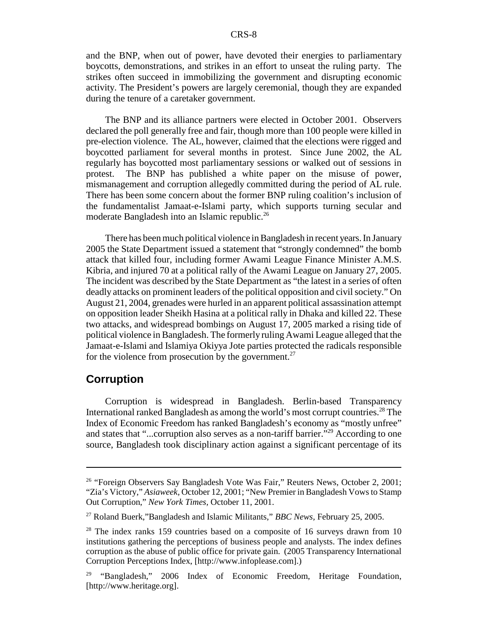and the BNP, when out of power, have devoted their energies to parliamentary boycotts, demonstrations, and strikes in an effort to unseat the ruling party. The strikes often succeed in immobilizing the government and disrupting economic activity. The President's powers are largely ceremonial, though they are expanded during the tenure of a caretaker government.

The BNP and its alliance partners were elected in October 2001. Observers declared the poll generally free and fair, though more than 100 people were killed in pre-election violence. The AL, however, claimed that the elections were rigged and boycotted parliament for several months in protest. Since June 2002, the AL regularly has boycotted most parliamentary sessions or walked out of sessions in protest. The BNP has published a white paper on the misuse of power, mismanagement and corruption allegedly committed during the period of AL rule. There has been some concern about the former BNP ruling coalition's inclusion of the fundamentalist Jamaat-e-Islami party, which supports turning secular and moderate Bangladesh into an Islamic republic.<sup>26</sup>

There has been much political violence in Bangladesh in recent years. In January 2005 the State Department issued a statement that "strongly condemned" the bomb attack that killed four, including former Awami League Finance Minister A.M.S. Kibria, and injured 70 at a political rally of the Awami League on January 27, 2005. The incident was described by the State Department as "the latest in a series of often deadly attacks on prominent leaders of the political opposition and civil society." On August 21, 2004, grenades were hurled in an apparent political assassination attempt on opposition leader Sheikh Hasina at a political rally in Dhaka and killed 22. These two attacks, and widespread bombings on August 17, 2005 marked a rising tide of political violence in Bangladesh. The formerly ruling Awami League alleged that the Jamaat-e-Islami and Islamiya Okiyya Jote parties protected the radicals responsible for the violence from prosecution by the government.<sup>27</sup>

#### **Corruption**

Corruption is widespread in Bangladesh. Berlin-based Transparency International ranked Bangladesh as among the world's most corrupt countries.<sup>28</sup> The Index of Economic Freedom has ranked Bangladesh's economy as "mostly unfree" and states that "...corruption also serves as a non-tariff barrier."<sup>29</sup> According to one source, Bangladesh took disciplinary action against a significant percentage of its

<sup>&</sup>lt;sup>26</sup> "Foreign Observers Say Bangladesh Vote Was Fair," Reuters News, October 2, 2001; "Zia's Victory," *Asiaweek,* October 12, 2001; "New Premier in Bangladesh Vows to Stamp Out Corruption," *New York Times,* October 11, 2001.

<sup>27</sup> Roland Buerk,"Bangladesh and Islamic Militants," *BBC News,* February 25, 2005.

<sup>&</sup>lt;sup>28</sup> The index ranks 159 countries based on a composite of 16 surveys drawn from 10 institutions gathering the perceptions of business people and analysts. The index defines corruption as the abuse of public office for private gain. (2005 Transparency International Corruption Perceptions Index, [http://www.infoplease.com].)

<sup>&</sup>lt;sup>29</sup> "Bangladesh," 2006 Index of Economic Freedom, Heritage Foundation, [http://www.heritage.org].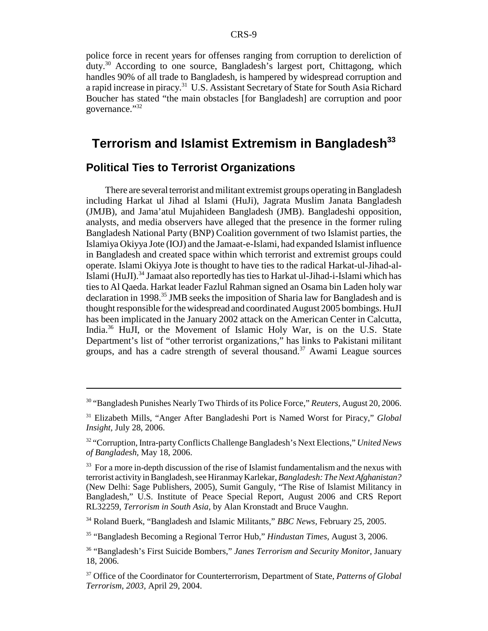police force in recent years for offenses ranging from corruption to dereliction of duty.30 According to one source, Bangladesh's largest port, Chittagong, which handles 90% of all trade to Bangladesh, is hampered by widespread corruption and a rapid increase in piracy.31 U.S. Assistant Secretary of State for South Asia Richard Boucher has stated "the main obstacles [for Bangladesh] are corruption and poor governance."<sup>32</sup>

# Terrorism and Islamist Extremism in Bangladesh<sup>33</sup>

#### **Political Ties to Terrorist Organizations**

There are several terrorist and militant extremist groups operating in Bangladesh including Harkat ul Jihad al Islami (HuJi), Jagrata Muslim Janata Bangladesh (JMJB), and Jama'atul Mujahideen Bangladesh (JMB). Bangladeshi opposition, analysts, and media observers have alleged that the presence in the former ruling Bangladesh National Party (BNP) Coalition government of two Islamist parties, the Islamiya Okiyya Jote (IOJ) and the Jamaat-e-Islami, had expanded Islamist influence in Bangladesh and created space within which terrorist and extremist groups could operate. Islami Okiyya Jote is thought to have ties to the radical Harkat-ul-Jihad-al-Islami (HuJI).<sup>34</sup> Jamaat also reportedly has ties to Harkat ul-Jihad-i-Islami which has ties to Al Qaeda. Harkat leader Fazlul Rahman signed an Osama bin Laden holy war declaration in 1998.35 JMB seeks the imposition of Sharia law for Bangladesh and is thought responsible for the widespread and coordinated August 2005 bombings. HuJI has been implicated in the January 2002 attack on the American Center in Calcutta, India.36 HuJI, or the Movement of Islamic Holy War, is on the U.S. State Department's list of "other terrorist organizations," has links to Pakistani militant groups, and has a cadre strength of several thousand. $37$  Awami League sources

34 Roland Buerk, "Bangladesh and Islamic Militants," *BBC News,* February 25, 2005.

35 "Bangladesh Becoming a Regional Terror Hub," *Hindustan Times*, August 3, 2006.

<sup>30 &</sup>quot;Bangladesh Punishes Nearly Two Thirds of its Police Force," *Reuters,* August 20, 2006.

<sup>31</sup> Elizabeth Mills, "Anger After Bangladeshi Port is Named Worst for Piracy," *Global Insight,* July 28, 2006.

<sup>32 &</sup>quot;Corruption, Intra-party Conflicts Challenge Bangladesh's Next Elections," *United News of Bangladesh,* May 18, 2006.

 $33$  For a more in-depth discussion of the rise of Islamist fundamentalism and the nexus with terrorist activity in Bangladesh, see Hiranmay Karlekar, *Bangladesh: The Next Afghanistan?* (New Delhi: Sage Publishers, 2005), Sumit Ganguly, "The Rise of Islamist Militancy in Bangladesh," U.S. Institute of Peace Special Report, August 2006 and CRS Report RL32259, *Terrorism in South Asia*, by Alan Kronstadt and Bruce Vaughn.

<sup>36 &</sup>quot;Bangladesh's First Suicide Bombers," *Janes Terrorism and Security Monitor,* January 18, 2006.

<sup>37</sup> Office of the Coordinator for Counterterrorism, Department of State, *Patterns of Global Terrorism, 2003,* April 29, 2004.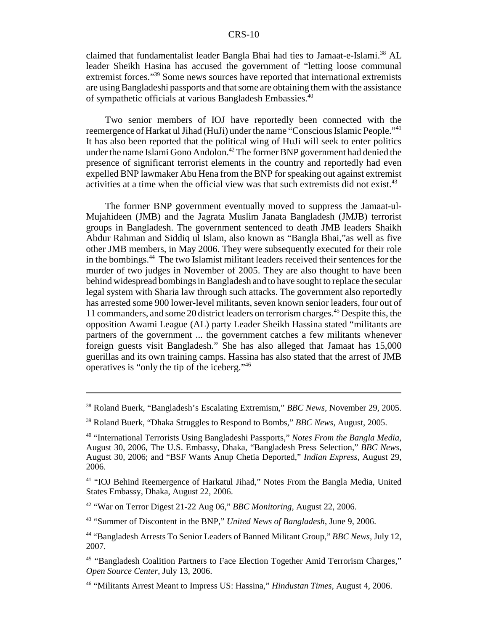claimed that fundamentalist leader Bangla Bhai had ties to Jamaat-e-Islami.<sup>38</sup> AL leader Sheikh Hasina has accused the government of "letting loose communal extremist forces."<sup>39</sup> Some news sources have reported that international extremists are using Bangladeshi passports and that some are obtaining them with the assistance of sympathetic officials at various Bangladesh Embassies.<sup>40</sup>

Two senior members of IOJ have reportedly been connected with the reemergence of Harkat ul Jihad (HuJi) under the name "Conscious Islamic People."41 It has also been reported that the political wing of HuJi will seek to enter politics under the name Islami Gono Andolon.<sup>42</sup> The former BNP government had denied the presence of significant terrorist elements in the country and reportedly had even expelled BNP lawmaker Abu Hena from the BNP for speaking out against extremist activities at a time when the official view was that such extremists did not exist. $43$ 

The former BNP government eventually moved to suppress the Jamaat-ul-Mujahideen (JMB) and the Jagrata Muslim Janata Bangladesh (JMJB) terrorist groups in Bangladesh. The government sentenced to death JMB leaders Shaikh Abdur Rahman and Siddiq ul Islam, also known as "Bangla Bhai,"as well as five other JMB members, in May 2006. They were subsequently executed for their role in the bombings.44 The two Islamist militant leaders received their sentences for the murder of two judges in November of 2005. They are also thought to have been behind widespread bombings in Bangladesh and to have sought to replace the secular legal system with Sharia law through such attacks. The government also reportedly has arrested some 900 lower-level militants, seven known senior leaders, four out of 11 commanders, and some 20 district leaders on terrorism charges.45 Despite this, the opposition Awami League (AL) party Leader Sheikh Hassina stated "militants are partners of the government ... the government catches a few militants whenever foreign guests visit Bangladesh." She has also alleged that Jamaat has 15,000 guerillas and its own training camps. Hassina has also stated that the arrest of JMB operatives is "only the tip of the iceberg."46

<sup>38</sup> Roland Buerk, "Bangladesh's Escalating Extremism," *BBC News,* November 29, 2005.

<sup>39</sup> Roland Buerk, "Dhaka Struggles to Respond to Bombs," *BBC News,* August, 2005.

<sup>40 &</sup>quot;International Terrorists Using Bangladeshi Passports," *Notes From the Bangla Media,* August 30, 2006, The U.S. Embassy, Dhaka, "Bangladesh Press Selection," *BBC News*, August 30, 2006; and "BSF Wants Anup Chetia Deported," *Indian Express,* August 29, 2006.

<sup>41 &</sup>quot;IOJ Behind Reemergence of Harkatul Jihad," Notes From the Bangla Media, United States Embassy, Dhaka, August 22, 2006.

<sup>42 &</sup>quot;War on Terror Digest 21-22 Aug 06," *BBC Monitoring,* August 22, 2006.

<sup>43 &</sup>quot;Summer of Discontent in the BNP," *United News of Bangladesh*, June 9, 2006.

<sup>44 &</sup>quot;Bangladesh Arrests To Senior Leaders of Banned Militant Group," *BBC News,* July 12, 2007.

<sup>45 &</sup>quot;Bangladesh Coalition Partners to Face Election Together Amid Terrorism Charges," *Open Source Center*, July 13, 2006.

<sup>46 &</sup>quot;Militants Arrest Meant to Impress US: Hassina," *Hindustan Times,* August 4, 2006.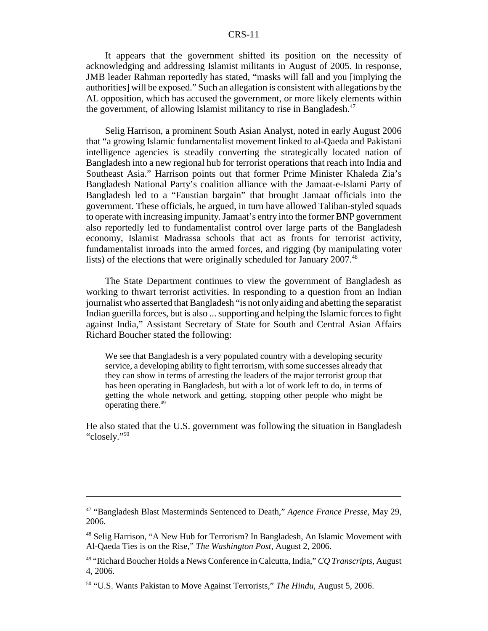It appears that the government shifted its position on the necessity of acknowledging and addressing Islamist militants in August of 2005. In response, JMB leader Rahman reportedly has stated, "masks will fall and you [implying the authorities] will be exposed." Such an allegation is consistent with allegations by the AL opposition, which has accused the government, or more likely elements within the government, of allowing Islamist militancy to rise in Bangladesh.<sup>47</sup>

Selig Harrison, a prominent South Asian Analyst, noted in early August 2006 that "a growing Islamic fundamentalist movement linked to al-Qaeda and Pakistani intelligence agencies is steadily converting the strategically located nation of Bangladesh into a new regional hub for terrorist operations that reach into India and Southeast Asia." Harrison points out that former Prime Minister Khaleda Zia's Bangladesh National Party's coalition alliance with the Jamaat-e-Islami Party of Bangladesh led to a "Faustian bargain" that brought Jamaat officials into the government. These officials, he argued, in turn have allowed Taliban-styled squads to operate with increasing impunity. Jamaat's entry into the former BNP government also reportedly led to fundamentalist control over large parts of the Bangladesh economy, Islamist Madrassa schools that act as fronts for terrorist activity, fundamentalist inroads into the armed forces, and rigging (by manipulating voter lists) of the elections that were originally scheduled for January 2007.<sup>48</sup>

The State Department continues to view the government of Bangladesh as working to thwart terrorist activities. In responding to a question from an Indian journalist who asserted that Bangladesh "is not only aiding and abetting the separatist Indian guerilla forces, but is also ... supporting and helping the Islamic forces to fight against India," Assistant Secretary of State for South and Central Asian Affairs Richard Boucher stated the following:

We see that Bangladesh is a very populated country with a developing security service, a developing ability to fight terrorism, with some successes already that they can show in terms of arresting the leaders of the major terrorist group that has been operating in Bangladesh, but with a lot of work left to do, in terms of getting the whole network and getting, stopping other people who might be operating there.<sup>49</sup>

He also stated that the U.S. government was following the situation in Bangladesh "closely."50

<sup>47 &</sup>quot;Bangladesh Blast Masterminds Sentenced to Death," *Agence France Presse,* May 29, 2006.

<sup>48</sup> Selig Harrison, "A New Hub for Terrorism? In Bangladesh, An Islamic Movement with Al-Qaeda Ties is on the Rise," *The Washington Post,* August 2, 2006.

<sup>49 &</sup>quot;Richard Boucher Holds a News Conference in Calcutta, India," *CQ Transcripts,* August 4, 2006.

<sup>50 &</sup>quot;U.S. Wants Pakistan to Move Against Terrorists," *The Hindu*, August 5, 2006.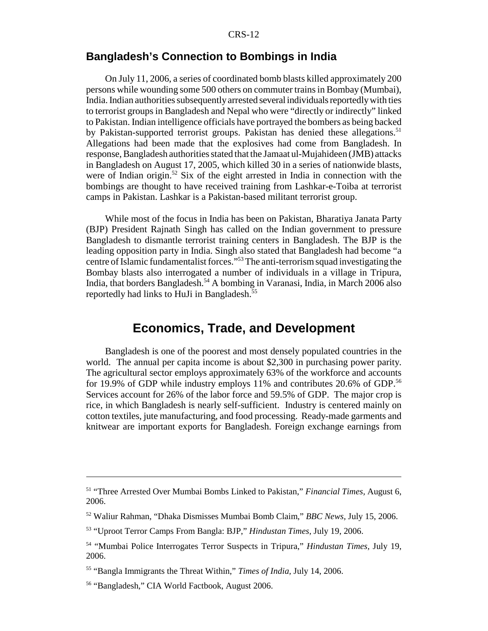#### **Bangladesh's Connection to Bombings in India**

On July 11, 2006, a series of coordinated bomb blasts killed approximately 200 persons while wounding some 500 others on commuter trains in Bombay (Mumbai), India. Indian authorities subsequently arrested several individuals reportedly with ties to terrorist groups in Bangladesh and Nepal who were "directly or indirectly" linked to Pakistan. Indian intelligence officials have portrayed the bombers as being backed by Pakistan-supported terrorist groups. Pakistan has denied these allegations.<sup>51</sup> Allegations had been made that the explosives had come from Bangladesh. In response, Bangladesh authorities stated that the Jamaat ul-Mujahideen (JMB) attacks in Bangladesh on August 17, 2005, which killed 30 in a series of nationwide blasts, were of Indian origin.<sup>52</sup> Six of the eight arrested in India in connection with the bombings are thought to have received training from Lashkar-e-Toiba at terrorist camps in Pakistan. Lashkar is a Pakistan-based militant terrorist group.

While most of the focus in India has been on Pakistan, Bharatiya Janata Party (BJP) President Rajnath Singh has called on the Indian government to pressure Bangladesh to dismantle terrorist training centers in Bangladesh. The BJP is the leading opposition party in India. Singh also stated that Bangladesh had become "a centre of Islamic fundamentalist forces."53 The anti-terrorism squad investigating the Bombay blasts also interrogated a number of individuals in a village in Tripura, India, that borders Bangladesh.54 A bombing in Varanasi, India, in March 2006 also reportedly had links to HuJi in Bangladesh.55

## **Economics, Trade, and Development**

Bangladesh is one of the poorest and most densely populated countries in the world. The annual per capita income is about \$2,300 in purchasing power parity. The agricultural sector employs approximately 63% of the workforce and accounts for 19.9% of GDP while industry employs 11% and contributes 20.6% of GDP.<sup>56</sup> Services account for 26% of the labor force and 59.5% of GDP. The major crop is rice, in which Bangladesh is nearly self-sufficient. Industry is centered mainly on cotton textiles, jute manufacturing, and food processing. Ready-made garments and knitwear are important exports for Bangladesh. Foreign exchange earnings from

<sup>51 &</sup>quot;Three Arrested Over Mumbai Bombs Linked to Pakistan," *Financial Times,* August 6, 2006.

<sup>52</sup> Waliur Rahman, "Dhaka Dismisses Mumbai Bomb Claim," *BBC News,* July 15, 2006.

<sup>53 &</sup>quot;Uproot Terror Camps From Bangla: BJP," *Hindustan Times,* July 19, 2006.

<sup>54 &</sup>quot;Mumbai Police Interrogates Terror Suspects in Tripura," *Hindustan Times,* July 19, 2006.

<sup>55 &</sup>quot;Bangla Immigrants the Threat Within," *Times of India,* July 14, 2006.

<sup>56 &</sup>quot;Bangladesh," CIA World Factbook, August 2006.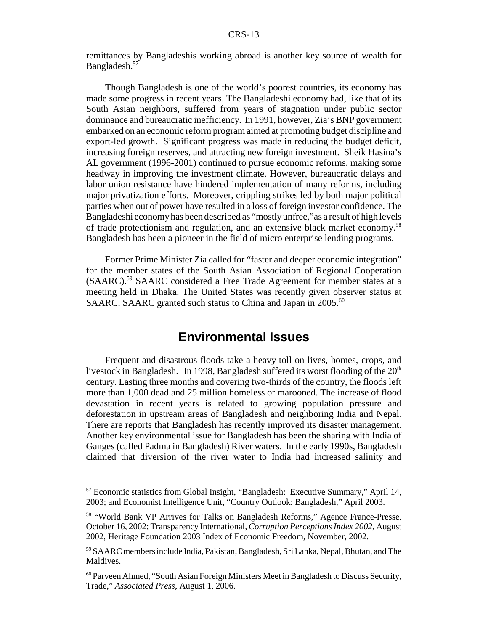remittances by Bangladeshis working abroad is another key source of wealth for Bangladesh.<sup>57</sup>

Though Bangladesh is one of the world's poorest countries, its economy has made some progress in recent years. The Bangladeshi economy had, like that of its South Asian neighbors, suffered from years of stagnation under public sector dominance and bureaucratic inefficiency. In 1991, however, Zia's BNP government embarked on an economic reform program aimed at promoting budget discipline and export-led growth. Significant progress was made in reducing the budget deficit, increasing foreign reserves, and attracting new foreign investment. Sheik Hasina's AL government (1996-2001) continued to pursue economic reforms, making some headway in improving the investment climate. However, bureaucratic delays and labor union resistance have hindered implementation of many reforms, including major privatization efforts. Moreover, crippling strikes led by both major political parties when out of power have resulted in a loss of foreign investor confidence. The Bangladeshi economy has been described as "mostly unfree,"as a result of high levels of trade protectionism and regulation, and an extensive black market economy.58 Bangladesh has been a pioneer in the field of micro enterprise lending programs.

Former Prime Minister Zia called for "faster and deeper economic integration" for the member states of the South Asian Association of Regional Cooperation (SAARC).59 SAARC considered a Free Trade Agreement for member states at a meeting held in Dhaka. The United States was recently given observer status at SAARC. SAARC granted such status to China and Japan in 2005.<sup>60</sup>

#### **Environmental Issues**

Frequent and disastrous floods take a heavy toll on lives, homes, crops, and livestock in Bangladesh. In 1998, Bangladesh suffered its worst flooding of the  $20<sup>th</sup>$ century. Lasting three months and covering two-thirds of the country, the floods left more than 1,000 dead and 25 million homeless or marooned. The increase of flood devastation in recent years is related to growing population pressure and deforestation in upstream areas of Bangladesh and neighboring India and Nepal. There are reports that Bangladesh has recently improved its disaster management. Another key environmental issue for Bangladesh has been the sharing with India of Ganges (called Padma in Bangladesh) River waters. In the early 1990s, Bangladesh claimed that diversion of the river water to India had increased salinity and

<sup>57</sup> Economic statistics from Global Insight, "Bangladesh: Executive Summary," April 14, 2003; and Economist Intelligence Unit, "Country Outlook: Bangladesh," April 2003.

<sup>58 &</sup>quot;World Bank VP Arrives for Talks on Bangladesh Reforms," Agence France-Presse, October 16, 2002; Transparency International, *Corruption Perceptions Index 2002*, August 2002, Heritage Foundation 2003 Index of Economic Freedom, November, 2002.

<sup>59</sup> SAARC members include India, Pakistan, Bangladesh, Sri Lanka, Nepal, Bhutan, and The Maldives.

<sup>60</sup> Parveen Ahmed, "South Asian Foreign Ministers Meet in Bangladesh to Discuss Security, Trade," *Associated Press*, August 1, 2006.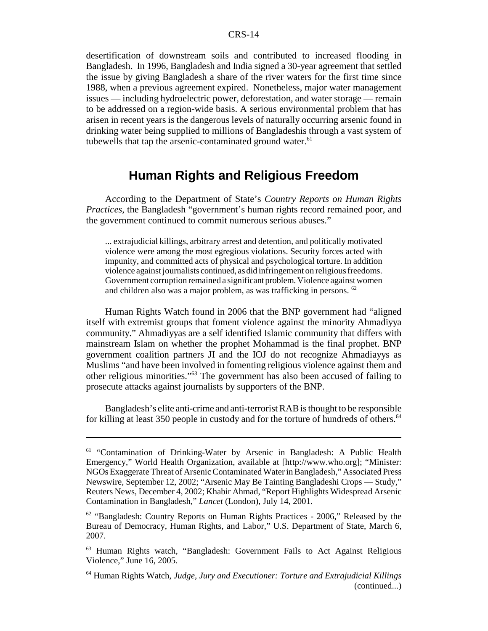desertification of downstream soils and contributed to increased flooding in Bangladesh. In 1996, Bangladesh and India signed a 30-year agreement that settled the issue by giving Bangladesh a share of the river waters for the first time since 1988, when a previous agreement expired. Nonetheless, major water management issues — including hydroelectric power, deforestation, and water storage — remain to be addressed on a region-wide basis. A serious environmental problem that has arisen in recent years is the dangerous levels of naturally occurring arsenic found in drinking water being supplied to millions of Bangladeshis through a vast system of tubewells that tap the arsenic-contaminated ground water. $61$ 

# **Human Rights and Religious Freedom**

According to the Department of State's *Country Reports on Human Rights Practices*, the Bangladesh "government's human rights record remained poor, and the government continued to commit numerous serious abuses."

... extrajudicial killings, arbitrary arrest and detention, and politically motivated violence were among the most egregious violations. Security forces acted with impunity, and committed acts of physical and psychological torture. In addition violence against journalists continued, as did infringement on religious freedoms. Government corruption remained a significant problem. Violence against women and children also was a major problem, as was trafficking in persons. 62

Human Rights Watch found in 2006 that the BNP government had "aligned itself with extremist groups that foment violence against the minority Ahmadiyya community." Ahmadiyyas are a self identified Islamic community that differs with mainstream Islam on whether the prophet Mohammad is the final prophet. BNP government coalition partners JI and the IOJ do not recognize Ahmadiayys as Muslims "and have been involved in fomenting religious violence against them and other religious minorities."63 The government has also been accused of failing to prosecute attacks against journalists by supporters of the BNP.

Bangladesh's elite anti-crime and anti-terrorist RAB is thought to be responsible for killing at least 350 people in custody and for the torture of hundreds of others.<sup>64</sup>

<sup>&</sup>lt;sup>61</sup> "Contamination of Drinking-Water by Arsenic in Bangladesh: A Public Health Emergency," World Health Organization, available at [http://www.who.org]; "Minister: NGOs Exaggerate Threat of Arsenic Contaminated Water in Bangladesh," Associated Press Newswire, September 12, 2002; "Arsenic May Be Tainting Bangladeshi Crops — Study," Reuters News, December 4, 2002; Khabir Ahmad, "Report Highlights Widespread Arsenic Contamination in Bangladesh," *Lancet* (London), July 14, 2001.

 $62$  "Bangladesh: Country Reports on Human Rights Practices - 2006," Released by the Bureau of Democracy, Human Rights, and Labor," U.S. Department of State, March 6, 2007.

<sup>63</sup> Human Rights watch, "Bangladesh: Government Fails to Act Against Religious Violence," June 16, 2005.

<sup>64</sup> Human Rights Watch, *Judge, Jury and Executioner: Torture and Extrajudicial Killings* (continued...)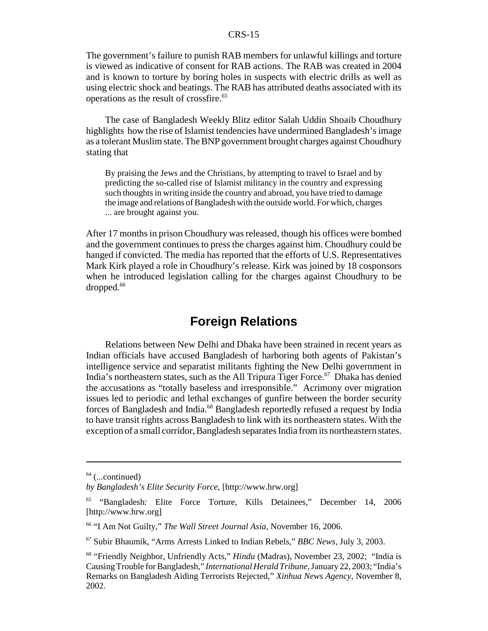The government's failure to punish RAB members for unlawful killings and torture is viewed as indicative of consent for RAB actions. The RAB was created in 2004 and is known to torture by boring holes in suspects with electric drills as well as using electric shock and beatings. The RAB has attributed deaths associated with its operations as the result of crossfire.<sup>65</sup>

The case of Bangladesh Weekly Blitz editor Salah Uddin Shoaib Choudhury highlights how the rise of Islamist tendencies have undermined Bangladesh's image as a tolerant Muslim state. The BNP government brought charges against Choudhury stating that

By praising the Jews and the Christians, by attempting to travel to Israel and by predicting the so-called rise of Islamist militancy in the country and expressing such thoughts in writing inside the country and abroad, you have tried to damage the image and relations of Bangladesh with the outside world. For which, charges ... are brought against you.

After 17 months in prison Choudhury was released, though his offices were bombed and the government continues to press the charges against him. Choudhury could be hanged if convicted. The media has reported that the efforts of U.S. Representatives Mark Kirk played a role in Choudhury's release. Kirk was joined by 18 cosponsors when he introduced legislation calling for the charges against Choudhury to be  $\alpha$ dropped.<sup>66</sup>

# **Foreign Relations**

Relations between New Delhi and Dhaka have been strained in recent years as Indian officials have accused Bangladesh of harboring both agents of Pakistan's intelligence service and separatist militants fighting the New Delhi government in India's northeastern states, such as the All Tripura Tiger Force.<sup>67</sup> Dhaka has denied the accusations as "totally baseless and irresponsible." Acrimony over migration issues led to periodic and lethal exchanges of gunfire between the border security forces of Bangladesh and India.<sup>68</sup> Bangladesh reportedly refused a request by India to have transit rights across Bangladesh to link with its northeastern states. With the exception of a small corridor, Bangladesh separates India from its northeastern states.

 $64$  (...continued)

*by Bangladesh's Elite Security Force,* [http://www.hrw.org]

<sup>65 &</sup>quot;Bangladesh: Elite Force Torture, Kills Detainees," December 14, 2006 [http://www.hrw.org]

<sup>66 &</sup>quot;I Am Not Guilty," *The Wall Street Journal Asia,* November 16, 2006.

<sup>67</sup> Subir Bhaumik, "Arms Arrests Linked to Indian Rebels," *BBC News*, July 3, 2003.

<sup>&</sup>lt;sup>68</sup> "Friendly Neighbor, Unfriendly Acts," *Hindu* (Madras), November 23, 2002; "India is Causing Trouble for Bangladesh," *International Herald Tribune*, January 22, 2003; "India's Remarks on Bangladesh Aiding Terrorists Rejected," *Xinhua News Agency*, November 8, 2002.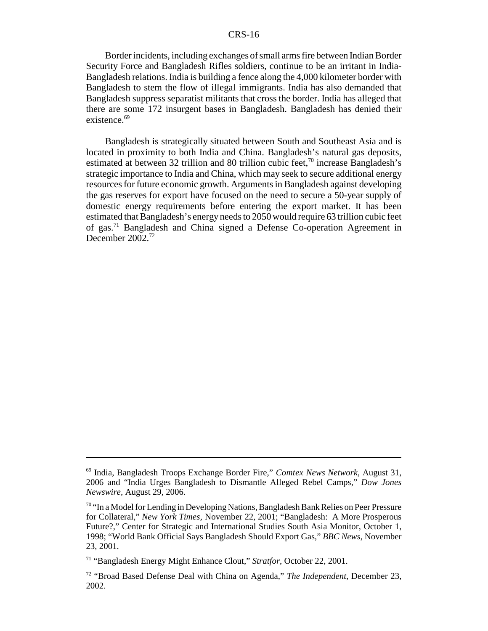Border incidents, including exchanges of small arms fire between Indian Border Security Force and Bangladesh Rifles soldiers, continue to be an irritant in India-Bangladesh relations. India is building a fence along the 4,000 kilometer border with Bangladesh to stem the flow of illegal immigrants. India has also demanded that Bangladesh suppress separatist militants that cross the border. India has alleged that there are some 172 insurgent bases in Bangladesh. Bangladesh has denied their existence. $69$ 

Bangladesh is strategically situated between South and Southeast Asia and is located in proximity to both India and China. Bangladesh's natural gas deposits, estimated at between 32 trillion and 80 trillion cubic feet, $\frac{70}{10}$  increase Bangladesh's strategic importance to India and China, which may seek to secure additional energy resources for future economic growth. Arguments in Bangladesh against developing the gas reserves for export have focused on the need to secure a 50-year supply of domestic energy requirements before entering the export market. It has been estimated that Bangladesh's energy needs to 2050 would require 63 trillion cubic feet of gas.71 Bangladesh and China signed a Defense Co-operation Agreement in December 2002<sup>72</sup>

<sup>69</sup> India, Bangladesh Troops Exchange Border Fire," *Comtex News Network*, August 31, 2006 and "India Urges Bangladesh to Dismantle Alleged Rebel Camps," *Dow Jones Newswire,* August 29, 2006.

 $70$  "In a Model for Lending in Developing Nations, Bangladesh Bank Relies on Peer Pressure for Collateral," *New York Times,* November 22, 2001; "Bangladesh: A More Prosperous Future?," Center for Strategic and International Studies South Asia Monitor, October 1, 1998; "World Bank Official Says Bangladesh Should Export Gas," *BBC News*, November 23, 2001.

<sup>71 &</sup>quot;Bangladesh Energy Might Enhance Clout," *Stratfor*, October 22, 2001.

<sup>72 &</sup>quot;Broad Based Defense Deal with China on Agenda," *The Independent*, December 23, 2002.